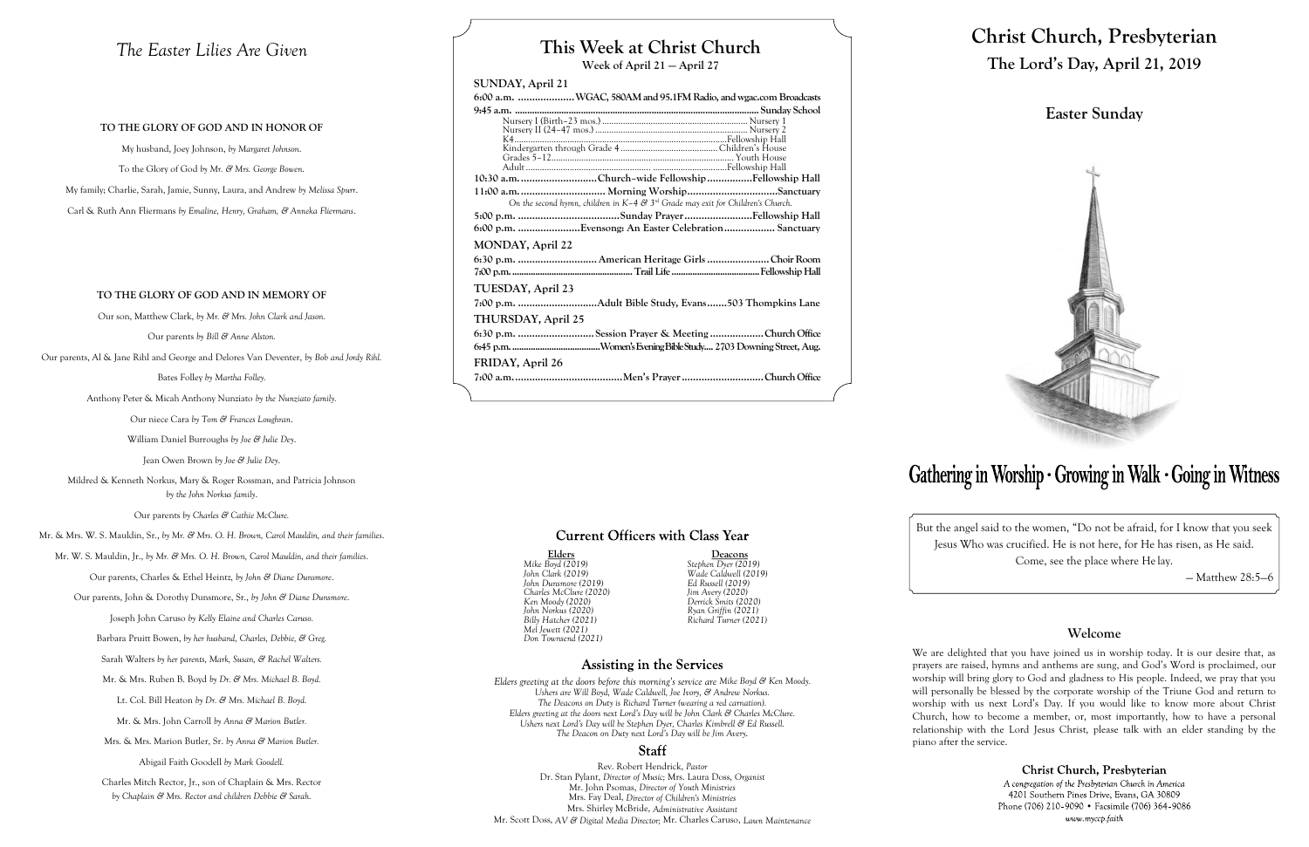## **This Week at Christ Church**

**Week of April 21 — April 27**

## **SUNDAY, April 21**

|                    | 6:00 a.m. WGAC, 580AM and 95.1FM Radio, and wgac.com Broadcasts                     |  |
|--------------------|-------------------------------------------------------------------------------------|--|
|                    |                                                                                     |  |
|                    |                                                                                     |  |
|                    |                                                                                     |  |
|                    |                                                                                     |  |
|                    |                                                                                     |  |
|                    |                                                                                     |  |
|                    | 10:30 a.m. Church-wide Fellowship Fellowship Hall                                   |  |
|                    | 11:00 a.m.  Morning WorshipSanctuary                                                |  |
|                    | On the second hymn, children in $K-4$ & $3rd$ Grade may exit for Children's Church. |  |
|                    |                                                                                     |  |
|                    | 6:00 p.m. Evensong: An Easter Celebration Sanctuary                                 |  |
| MONDAY, April 22   |                                                                                     |  |
|                    |                                                                                     |  |
|                    |                                                                                     |  |
| TUESDAY, April 23  |                                                                                     |  |
|                    |                                                                                     |  |
| THURSDAY, April 25 |                                                                                     |  |
|                    | 6:30 p.m. Session Prayer & Meeting Church Office                                    |  |
|                    |                                                                                     |  |
| FRIDAY, April 26   |                                                                                     |  |
|                    |                                                                                     |  |
|                    |                                                                                     |  |

## **Current Officers with Class Year**

**Elders Deacons** *John Norkus (2020) Ryan Griffin (2021)*

## **Assisting in the Services**

*Mike Boyd (2019) Stephen Dyer (2019) John Clark (2019) Wade Caldwell (2019) John Dunsmore (2019) Ed Russell (2019) Charles McClure (2020) Jim Avery (2020) Ken Moody (2020) Derrick Smits (2020) Billy Hatcher (2021) Richard Turner (2021) Mel Jewett (2021) Don Townsend (2021)*

*Elders greeting at the doors before this morning's service are Mike Boyd & Ken Moody. Ushers are Will Boyd, Wade Caldwell, Joe Ivory, & Andrew Norkus. The Deacons on Duty is Richard Turner (wearing a red carnation). Elders greeting at the doors next Lord's Day will be John Clark & Charles McClure. Ushers next Lord's Day will be Stephen Dyer, Charles Kimbrell & Ed Russell. The Deacon on Duty next Lord's Day will be Jim Avery.*

## **Staff**

Rev. Robert Hendrick, *Pastor* Dr. Stan Pylant, *Director of Music;* Mrs. Laura Doss, *Organist* Mr. John Psomas, *Director of Youth Ministries* Mrs. Fay Deal, *Director of Children's Ministries* Mrs. Shirley McBride, *Administrative Assistant* Mr. Scott Doss, *AV & Digital Media Director;* Mr. Charles Caruso, *Lawn Maintenance*

# **Christ Church, Presbyterian The Lord's Day, April 21, 2019**

## **Easter Sunday**



# Gathering in Worship · Growing in Walk · Going in Witness

But the angel said to the women, "Do not be afraid, for I know that you seek Jesus Who was crucified. He is not here, for He has risen, as He said. Come, see the place where He lay.

— Matthew 28:5—6

## **Welcome**

Christ Church, Presbyterian A congregation of the Presbyterian Church in America 4201 Southern Pines Drive, Evans, GA 30809 Phone (706) 210-9090 • Facsimile (706) 364-9086 www.myccp.faith

We are delighted that you have joined us in worship today. It is our desire that, as prayers are raised, hymns and anthems are sung, and God's Word is proclaimed, our worship will bring glory to God and gladness to His people. Indeed, we pray that you will personally be blessed by the corporate worship of the Triune God and return to worship with us next Lord's Day. If you would like to know more about Christ Church, how to become a member, or, most importantly, how to have a personal relationship with the Lord Jesus Christ, please talk with an elder standing by the piano after the service.

## *The Easter Lilies Are Given*

### **TO THE GLORY OF GOD AND IN HONOR OF**

My husband, Joey Johnson, *by Margaret Johnson*. To the Glory of God *by Mr. & Mrs. George Bowen*. My family; Charlie, Sarah, Jamie, Sunny, Laura, and Andrew *by Melissa Spurr*. Carl & Ruth Ann Fliermans *by Emaline, Henry, Graham, & Anneka Fliermans*.

### **TO THE GLORY OF GOD AND IN MEMORY OF**

Our son, Matthew Clark, *by Mr. & Mrs. John Clark and Jason.*

Our parents *by Bill & Anne Alston.*

Our parents, Al & Jane Rihl and George and Delores Van Deventer, *by Bob and Jordy Rihl.*

Bates Folley *by Martha Folley.*

Anthony Peter & Micah Anthony Nunziato *by the Nunziato family.*

Our niece Cara *by Tom & Frances Loughran*.

William Daniel Burroughs *by Joe & Julie Dey*.

Jean Owen Brown *by Joe & Julie Dey*.

Mildred & Kenneth Norkus, Mary & Roger Rossman, and Patricia Johnson *by the John Norkus family*.

Our parents *by Charles & Cathie McClure.*

Mr. & Mrs. W. S. Mauldin, Sr., *by Mr. & Mrs. O. H. Brown, Carol Mauldin, and their families*.

Mr. W. S. Mauldin, Jr., *by Mr. & Mrs. O. H. Brown, Carol Mauldin, and their families*.

Our parents, Charles & Ethel Heintz, *by John & Diane Dunsmore*.

Our parents, John & Dorothy Dunsmore, Sr., *by John & Diane Dunsmore*.

Joseph John Caruso *by Kelly Elaine and Charles Caruso.*

Barbara Pruitt Bowen, *by her husband, Charles, Debbie, & Greg.*

Sarah Walters *by her parents, Mark, Susan, & Rachel Walters.*

Mr. & Mrs. Ruben B. Boyd *by Dr. & Mrs. Michael B. Boyd.*

Lt. Col. Bill Heaton *by Dr. & Mrs. Michael B. Boyd.*

Mr. & Mrs. John Carroll *by Anna & Marion Butler.*

Mrs. & Mrs. Marion Butler, Sr. *by Anna & Marion Butler.*

Abigail Faith Goodell *by Mark Goodell.*

Charles Mitch Rector, Jr., son of Chaplain & Mrs. Rector *by Chaplain & Mrs. Rector and children Debbie & Sarah.*